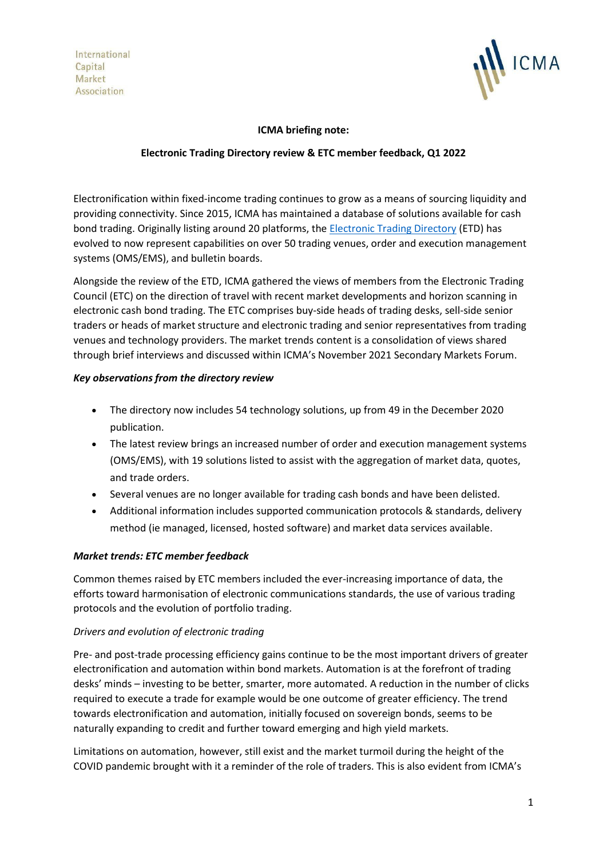International Capital Market Association



### **ICMA briefing note:**

### **Electronic Trading Directory review & ETC member feedback, Q1 2022**

Electronification within fixed-income trading continues to grow as a means of sourcing liquidity and providing connectivity. Since 2015, ICMA has maintained a database of solutions available for cash bond trading. Originally listing around 20 platforms, the [Electronic Trading Directory](https://www.icmagroup.org/Regulatory-Policy-and-Market-Practice/Secondary-Markets/electronic-trading/etp-mapping/) (ETD) has evolved to now represent capabilities on over 50 trading venues, order and execution management systems (OMS/EMS), and bulletin boards.

Alongside the review of the ETD, ICMA gathered the views of members from the Electronic Trading Council (ETC) on the direction of travel with recent market developments and horizon scanning in electronic cash bond trading. The ETC comprises buy-side heads of trading desks, sell-side senior traders or heads of market structure and electronic trading and senior representatives from trading venues and technology providers. The market trends content is a consolidation of views shared through brief interviews and discussed within ICMA's November 2021 Secondary Markets Forum.

## *Key observations from the directory review*

- The directory now includes 54 technology solutions, up from 49 in the December 2020 publication.
- The latest review brings an increased number of order and execution management systems (OMS/EMS), with 19 solutions listed to assist with the aggregation of market data, quotes, and trade orders.
- Several venues are no longer available for trading cash bonds and have been delisted.
- Additional information includes supported communication protocols & standards, delivery method (ie managed, licensed, hosted software) and market data services available.

# *Market trends: ETC member feedback*

Common themes raised by ETC members included the ever-increasing importance of data, the efforts toward harmonisation of electronic communications standards, the use of various trading protocols and the evolution of portfolio trading.

### *Drivers and evolution of electronic trading*

Pre- and post-trade processing efficiency gains continue to be the most important drivers of greater electronification and automation within bond markets. Automation is at the forefront of trading desks' minds – investing to be better, smarter, more automated. A reduction in the number of clicks required to execute a trade for example would be one outcome of greater efficiency. The trend towards electronification and automation, initially focused on sovereign bonds, seems to be naturally expanding to credit and further toward emerging and high yield markets.

Limitations on automation, however, still exist and the market turmoil during the height of the COVID pandemic brought with it a reminder of the role of traders. This is also evident from ICMA's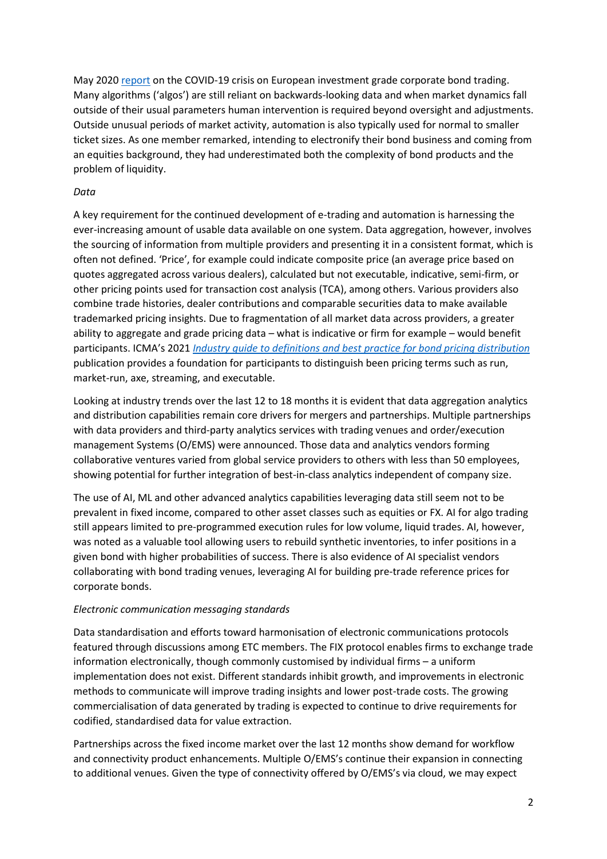May 2020 [report](https://www.icmagroup.org/assets/documents/Regulatory/Secondary-markets/The-European-investment-grade-corporate-bond-secondary-market-and-the-COVID-19-crisis-280520v2.pdf) on the COVID-19 crisis on European investment grade corporate bond trading. Many algorithms ('algos') are still reliant on backwards-looking data and when market dynamics fall outside of their usual parameters human intervention is required beyond oversight and adjustments. Outside unusual periods of market activity, automation is also typically used for normal to smaller ticket sizes. As one member remarked, intending to electronify their bond business and coming from an equities background, they had underestimated both the complexity of bond products and the problem of liquidity.

#### *Data*

A key requirement for the continued development of e-trading and automation is harnessing the ever-increasing amount of usable data available on one system. Data aggregation, however, involves the sourcing of information from multiple providers and presenting it in a consistent format, which is often not defined. 'Price', for example could indicate composite price (an average price based on quotes aggregated across various dealers), calculated but not executable, indicative, semi-firm, or other pricing points used for transaction cost analysis (TCA), among others. Various providers also combine trade histories, dealer contributions and comparable securities data to make available trademarked pricing insights. Due to fragmentation of all market data across providers, a greater ability to aggregate and grade pricing data – what is indicative or firm for example – would benefit participants. ICMA's 2021 *[Industry guide to definitions and best practice for bond pricing distribution](https://www.icmagroup.org/assets/documents/Regulatory/Secondary-markets/ICMA-Industry-guide-to-definitions-and-best-practice-for-bond-pricing-distribution-May-2021-170521.pdf)* publication provides a foundation for participants to distinguish been pricing terms such as run, market-run, axe, streaming, and executable.

Looking at industry trends over the last 12 to 18 months it is evident that data aggregation analytics and distribution capabilities remain core drivers for mergers and partnerships. Multiple partnerships with data providers and third-party analytics services with trading venues and order/execution management Systems (O/EMS) were announced. Those data and analytics vendors forming collaborative ventures varied from global service providers to others with less than 50 employees, showing potential for further integration of best-in-class analytics independent of company size.

The use of AI, ML and other advanced analytics capabilities leveraging data still seem not to be prevalent in fixed income, compared to other asset classes such as equities or FX. AI for algo trading still appears limited to pre-programmed execution rules for low volume, liquid trades. AI, however, was noted as a valuable tool allowing users to rebuild synthetic inventories, to infer positions in a given bond with higher probabilities of success. There is also evidence of AI specialist vendors collaborating with bond trading venues, leveraging AI for building pre-trade reference prices for corporate bonds.

#### *Electronic communication messaging standards*

Data standardisation and efforts toward harmonisation of electronic communications protocols featured through discussions among ETC members. The FIX protocol enables firms to exchange trade information electronically, though commonly customised by individual firms – a uniform implementation does not exist. Different standards inhibit growth, and improvements in electronic methods to communicate will improve trading insights and lower post-trade costs. The growing commercialisation of data generated by trading is expected to continue to drive requirements for codified, standardised data for value extraction.

Partnerships across the fixed income market over the last 12 months show demand for workflow and connectivity product enhancements. Multiple O/EMS's continue their expansion in connecting to additional venues. Given the type of connectivity offered by O/EMS's via cloud, we may expect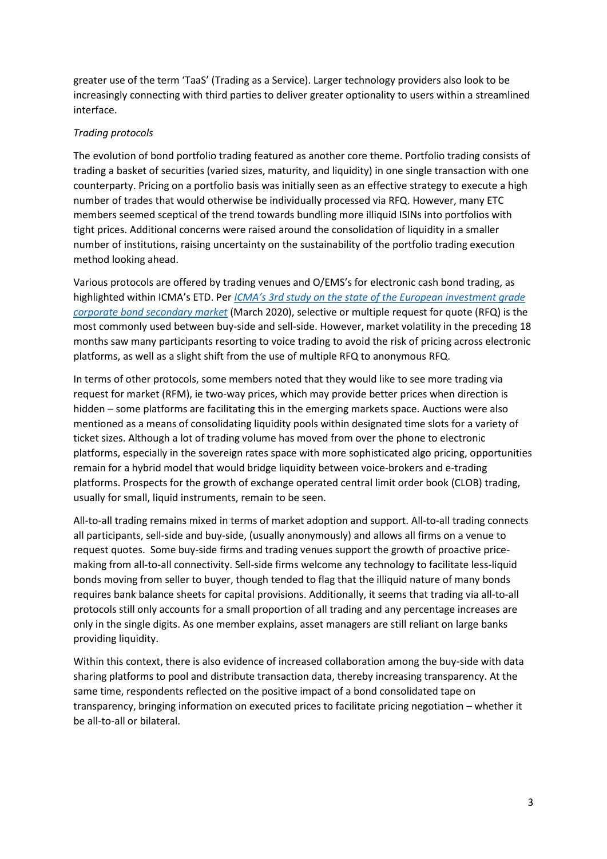greater use of the term 'TaaS' (Trading as a Service). Larger technology providers also look to be increasingly connecting with third parties to deliver greater optionality to users within a streamlined interface.

#### *Trading protocols*

The evolution of bond portfolio trading featured as another core theme. Portfolio trading consists of trading a basket of securities (varied sizes, maturity, and liquidity) in one single transaction with one counterparty. Pricing on a portfolio basis was initially seen as an effective strategy to execute a high number of trades that would otherwise be individually processed via RFQ. However, many ETC members seemed sceptical of the trend towards bundling more illiquid ISINs into portfolios with tight prices. Additional concerns were raised around the consolidation of liquidity in a smaller number of institutions, raising uncertainty on the sustainability of the portfolio trading execution method looking ahead.

Various protocols are offered by trading venues and O/EMS's for electronic cash bond trading, as highlighted within ICMA's ETD. Per *[ICMA's 3rd study on the state of the European investment grade](https://www.icmagroup.org/assets/documents/Regulatory/Secondary-markets/Time-to-act-ICMAs-3rd-study-into-the-state-and-evolution-of-the-European-investment-grade-corporate-bond-secondary-market-040320.pdf)  [corporate bond secondary market](https://www.icmagroup.org/assets/documents/Regulatory/Secondary-markets/Time-to-act-ICMAs-3rd-study-into-the-state-and-evolution-of-the-European-investment-grade-corporate-bond-secondary-market-040320.pdf)* (March 2020), selective or multiple request for quote (RFQ) is the most commonly used between buy-side and sell-side. However, market volatility in the preceding 18 months saw many participants resorting to voice trading to avoid the risk of pricing across electronic platforms, as well as a slight shift from the use of multiple RFQ to anonymous RFQ.

In terms of other protocols, some members noted that they would like to see more trading via request for market (RFM), ie two-way prices, which may provide better prices when direction is hidden – some platforms are facilitating this in the emerging markets space. Auctions were also mentioned as a means of consolidating liquidity pools within designated time slots for a variety of ticket sizes. Although a lot of trading volume has moved from over the phone to electronic platforms, especially in the sovereign rates space with more sophisticated algo pricing, opportunities remain for a hybrid model that would bridge liquidity between voice-brokers and e-trading platforms. Prospects for the growth of exchange operated central limit order book (CLOB) trading, usually for small, liquid instruments, remain to be seen.

All-to-all trading remains mixed in terms of market adoption and support. All-to-all trading connects all participants, sell-side and buy-side, (usually anonymously) and allows all firms on a venue to request quotes. Some buy-side firms and trading venues support the growth of proactive pricemaking from all-to-all connectivity. Sell-side firms welcome any technology to facilitate less-liquid bonds moving from seller to buyer, though tended to flag that the illiquid nature of many bonds requires bank balance sheets for capital provisions. Additionally, it seems that trading via all-to-all protocols still only accounts for a small proportion of all trading and any percentage increases are only in the single digits. As one member explains, asset managers are still reliant on large banks providing liquidity.

Within this context, there is also evidence of increased collaboration among the buy-side with data sharing platforms to pool and distribute transaction data, thereby increasing transparency. At the same time, respondents reflected on the positive impact of a bond consolidated tape on transparency, bringing information on executed prices to facilitate pricing negotiation – whether it be all-to-all or bilateral.